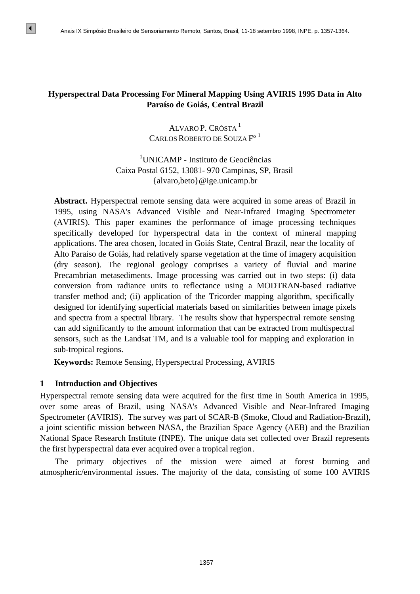## **Hyperspectral Data Processing For Mineral Mapping Using AVIRIS 1995 Data in Alto Paraíso de Goiás, Central Brazil**

# ALVARO P. CRÓSTA<sup>1</sup> CARLOS ROBERTO DE SOUZA F<sup>o 1</sup>

# <sup>1</sup>UNICAMP - Instituto de Geociências Caixa Postal 6152, 13081- 970 Campinas, SP, Brasil {alvaro,beto}@ige.unicamp.br

**Abstract.** Hyperspectral remote sensing data were acquired in some areas of Brazil in 1995, using NASA's Advanced Visible and Near-Infrared Imaging Spectrometer (AVIRIS). This paper examines the performance of image processing techniques specifically developed for hyperspectral data in the context of mineral mapping applications. The area chosen, located in Goiás State, Central Brazil, near the locality of Alto Paraíso de Goiás, had relatively sparse vegetation at the time of imagery acquisition (dry season). The regional geology comprises a variety of fluvial and marine Precambrian metasediments. Image processing was carried out in two steps: (i) data conversion from radiance units to reflectance using a MODTRAN-based radiative transfer method and; (ii) application of the Tricorder mapping algorithm, specifically designed for identifying superficial materials based on similarities between image pixels and spectra from a spectral library. The results show that hyperspectral remote sensing can add significantly to the amount information that can be extracted from multispectral sensors, such as the Landsat TM, and is a valuable tool for mapping and exploration in sub-tropical regions.

**Keywords:** Remote Sensing, Hyperspectral Processing, AVIRIS

## **1 Introduction and Objectives**

Hyperspectral remote sensing data were acquired for the first time in South America in 1995, over some areas of Brazil, using NASA's Advanced Visible and Near-Infrared Imaging Spectrometer (AVIRIS). The survey was part of SCAR-B (Smoke, Cloud and Radiation-Brazil), a joint scientific mission between NASA, the Brazilian Space Agency (AEB) and the Brazilian National Space Research Institute (INPE). The unique data set collected over Brazil represents the first hyperspectral data ever acquired over a tropical region.

The primary objectives of the mission were aimed at forest burning and atmospheric/environmental issues. The majority of the data, consisting of some 100 AVIRIS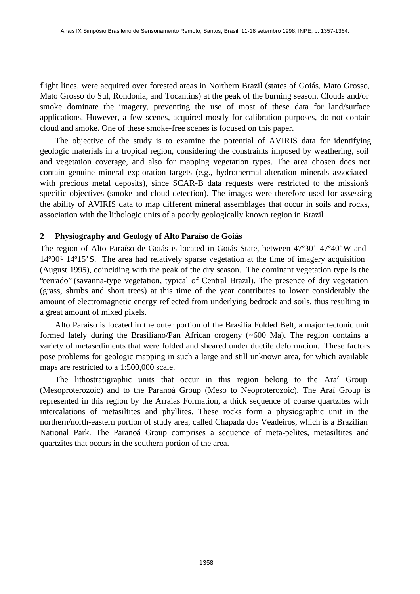flight lines, were acquired over forested areas in Northern Brazil (states of Goiás, Mato Grosso, Mato Grosso do Sul, Rondonia, and Tocantins) at the peak of the burning season. Clouds and/or smoke dominate the imagery, preventing the use of most of these data for land/surface applications. However, a few scenes, acquired mostly for calibration purposes, do not contain cloud and smoke. One of these smoke-free scenes is focused on this paper.

The objective of the study is to examine the potential of AVIRIS data for identifying geologic materials in a tropical region, considering the constraints imposed by weathering, soil and vegetation coverage, and also for mapping vegetation types. The area chosen does not contain genuine mineral exploration targets (e.g., hydrothermal alteration minerals associated with precious metal deposits), since SCAR-B data requests were restricted to the mission's specific objectives (smoke and cloud detection). The images were therefore used for assessing the ability of AVIRIS data to map different mineral assemblages that occur in soils and rocks, association with the lithologic units of a poorly geologically known region in Brazil.

### **2 Physiography and Geology of Alto Paraíso de Goiás**

The region of Alto Paraíso de Goiás is located in Goiás State, between 47º30'- 47º40' W and 14º00'- 14º15' S. The area had relatively sparse vegetation at the time of imagery acquisition (August 1995), coinciding with the peak of the dry season. The dominant vegetation type is the "cerrado" (savanna-type vegetation, typical of Central Brazil). The presence of dry vegetation (grass, shrubs and short trees) at this time of the year contributes to lower considerably the amount of electromagnetic energy reflected from underlying bedrock and soils, thus resulting in a great amount of mixed pixels.

Alto Paraíso is located in the outer portion of the Brasília Folded Belt, a major tectonic unit formed lately during the Brasiliano/Pan African orogeny (~600 Ma). The region contains a variety of metasediments that were folded and sheared under ductile deformation. These factors pose problems for geologic mapping in such a large and still unknown area, for which available maps are restricted to a 1:500,000 scale.

The lithostratigraphic units that occur in this region belong to the Araí Group (Mesoproterozoic) and to the Paranoá Group (Meso to Neoproterozoic). The Araí Group is represented in this region by the Arraias Formation, a thick sequence of coarse quartzites with intercalations of metasiltites and phyllites. These rocks form a physiographic unit in the northern/north-eastern portion of study area, called Chapada dos Veadeiros, which is a Brazilian National Park. The Paranoá Group comprises a sequence of meta-pelites, metasiltites and quartzites that occurs in the southern portion of the area.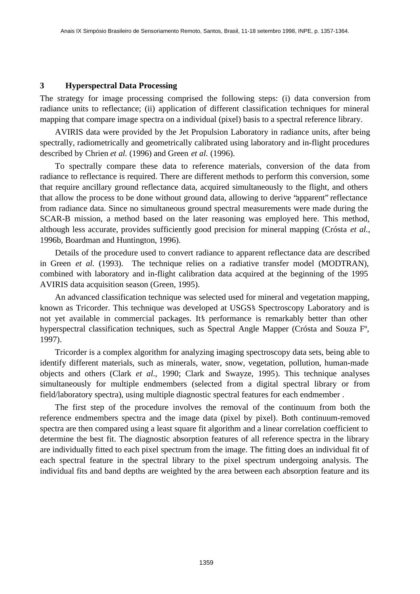#### **3 Hyperspectral Data Processing**

The strategy for image processing comprised the following steps: (i) data conversion from radiance units to reflectance; (ii) application of different classification techniques for mineral mapping that compare image spectra on a individual (pixel) basis to a spectral reference library.

AVIRIS data were provided by the Jet Propulsion Laboratory in radiance units, after being spectrally, radiometrically and geometrically calibrated using laboratory and in-flight procedures described by Chrien *et al.* (1996) and Green *et al.* (1996).

To spectrally compare these data to reference materials, conversion of the data from radiance to reflectance is required. There are different methods to perform this conversion, some that require ancillary ground reflectance data, acquired simultaneously to the flight, and others that allow the process to be done without ground data, allowing to derive "apparent" reflectance from radiance data. Since no simultaneous ground spectral measurements were made during the SCAR-B mission, a method based on the later reasoning was employed here. This method, although less accurate, provides sufficiently good precision for mineral mapping (Crósta *et al.*, 1996b, Boardman and Huntington, 1996).

Details of the procedure used to convert radiance to apparent reflectance data are described in Green *et al.* (1993). The technique relies on a radiative transfer model (MODTRAN), combined with laboratory and in-flight calibration data acquired at the beginning of the 1995 AVIRIS data acquisition season (Green, 1995).

An advanced classification technique was selected used for mineral and vegetation mapping, known as Tricorder. This technique was developed at USGS's Spectroscopy Laboratory and is not yet available in commercial packages. It's performance is remarkably better than other hyperspectral classification techniques, such as Spectral Angle Mapper (Crósta and Souza Fº, 1997).

Tricorder is a complex algorithm for analyzing imaging spectroscopy data sets, being able to identify different materials, such as minerals, water, snow, vegetation, pollution, human-made objects and others (Clark *et al.*, 1990; Clark and Swayze, 1995). This technique analyses simultaneously for multiple endmembers (selected from a digital spectral library or from field/laboratory spectra), using multiple diagnostic spectral features for each endmember .

The first step of the procedure involves the removal of the continuum from both the reference endmembers spectra and the image data (pixel by pixel). Both continuum-removed spectra are then compared using a least square fit algorithm and a linear correlation coefficient to determine the best fit. The diagnostic absorption features of all reference spectra in the library are individually fitted to each pixel spectrum from the image. The fitting does an individual fit of each spectral feature in the spectral library to the pixel spectrum undergoing analysis. The individual fits and band depths are weighted by the area between each absorption feature and its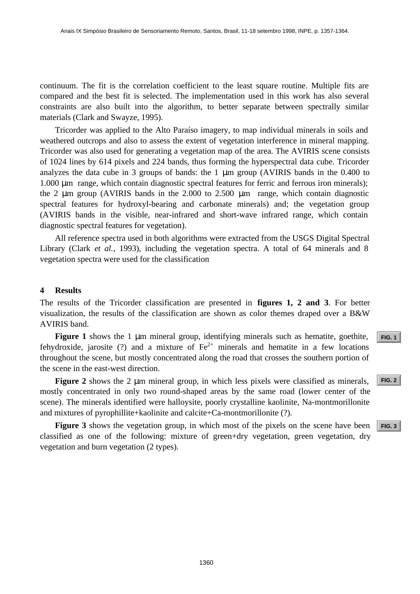continuum. The fit is the correlation coefficient to the least square routine. Multiple fits are compared and the best fit is selected. The implementation used in this work has also several constraints are also built into the algorithm, to better separate between spectrally similar materials (Clark and Swayze, 1995).

Tricorder was applied to the Alto Paraíso imagery, to map individual minerals in soils and weathered outcrops and also to assess the extent of vegetation interference in mineral mapping. Tricorder was also used for generating a vegetation map of the area. The AVIRIS scene consists of 1024 lines by 614 pixels and 224 bands, thus forming the hyperspectral data cube. Tricorder analyzes the data cube in 3 groups of bands: the 1 μm group (AVIRIS bands in the 0.400 to 1.000 μm range, which contain diagnostic spectral features for ferric and ferrous iron minerals); the 2 μm group (AVIRIS bands in the 2.000 to 2.500 μm range, which contain diagnostic spectral features for hydroxyl-bearing and carbonate minerals) and; the vegetation group (AVIRIS bands in the visible, near-infrared and short-wave infrared range, which contain diagnostic spectral features for vegetation). **[FIG. 3](#page-5-0)** Anais IX Simposio Brasileiro de Sensoriamento Remoto, Santos, Brasil, 11-18 setembro 1998, INPE, p. 1537-1364.<br> **FIG. 10** Analysis are also brasileirs such coefficient to the head stopace in this words has be seve

All reference spectra used in both algorithms were extracted from the USGS Digital Spectral Library (Clark *et al.*, 1993), including the vegetation spectra. A total of 64 minerals and 8 vegetation spectra were used for the classification

#### **4 Results**

The results of the Tricorder classification are presented in **figures 1, 2 and 3**. For better visualization, the results of the classification are shown as color themes draped over a B&W AVIRIS band.

**Figure 1** shows the 1 μm mineral group, identifying minerals such as hematite, goethite, fehydroxide, jarosite (?) and a mixture of  $Fe^{2+}$  minerals and hematite in a few locations throughout the scene, but mostly concentrated along the road that crosses the southern portion of the scene in the east-west direction.

**Figure 2** shows the 2 μm mineral group, in which less pixels were classified as minerals, mostly concentrated in only two round-shaped areas by the same road (lower center of the scene). The minerals identified were halloysite, poorly crystalline kaolinite, Na-montmorillonite and mixtures of pyrophillite+kaolinite and calcite+Ca-montmorillonite (?).

**Figure 3** shows the vegetation group, in which most of the pixels on the scene have been classified as one of the following: mixture of green+dry vegetation, green vegetation, dry vegetation and burn vegetation (2 types).

**[FIG. 1](#page-4-0)**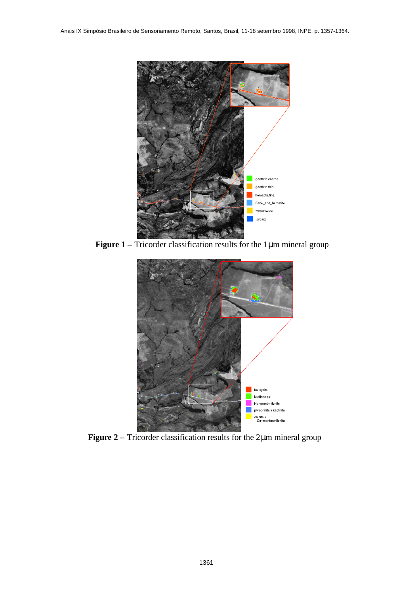<span id="page-4-0"></span>

**Figure 1 –** Tricorder classification results for the 1μm mineral group



**Figure 2 –** Tricorder classification results for the 2μm mineral group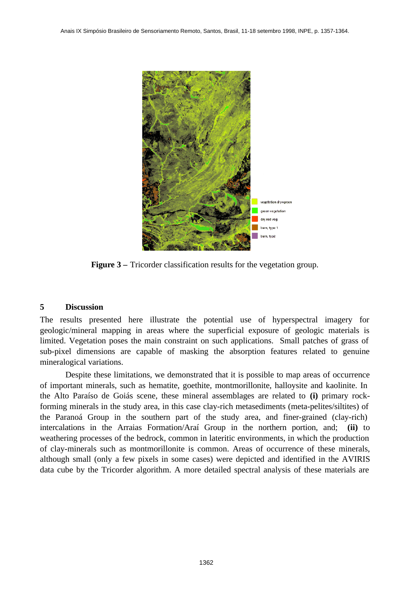<span id="page-5-0"></span>

**Figure 3** – Tricorder classification results for the vegetation group.

## **5 Discussion**

The results presented here illustrate the potential use of hyperspectral imagery for geologic/mineral mapping in areas where the superficial exposure of geologic materials is limited. Vegetation poses the main constraint on such applications. Small patches of grass of sub-pixel dimensions are capable of masking the absorption features related to genuine mineralogical variations.

Despite these limitations, we demonstrated that it is possible to map areas of occurrence of important minerals, such as hematite, goethite, montmorillonite, halloysite and kaolinite. In the Alto Paraíso de Goiás scene, these mineral assemblages are related to **(i)** primary rockforming minerals in the study area, in this case clay-rich metasediments (meta-pelites/siltites) of the Paranoá Group in the southern part of the study area, and finer-grained (clay-rich) intercalations in the Arraias Formation/Araí Group in the northern portion, and; **(ii)** to weathering processes of the bedrock, common in lateritic environments, in which the production of clay-minerals such as montmorillonite is common. Areas of occurrence of these minerals, although small (only a few pixels in some cases) were depicted and identified in the AVIRIS data cube by the Tricorder algorithm. A more detailed spectral analysis of these materials are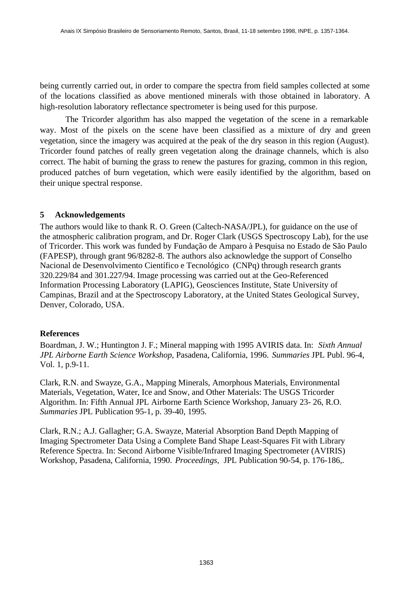being currently carried out, in order to compare the spectra from field samples collected at some of the locations classified as above mentioned minerals with those obtained in laboratory. A high-resolution laboratory reflectance spectrometer is being used for this purpose.

The Tricorder algorithm has also mapped the vegetation of the scene in a remarkable way. Most of the pixels on the scene have been classified as a mixture of dry and green vegetation, since the imagery was acquired at the peak of the dry season in this region (August). Tricorder found patches of really green vegetation along the drainage channels, which is also correct. The habit of burning the grass to renew the pastures for grazing, common in this region, produced patches of burn vegetation, which were easily identified by the algorithm, based on their unique spectral response.

### **5 Acknowledgements**

The authors would like to thank R. O. Green (Caltech-NASA/JPL), for guidance on the use of the atmospheric calibration program, and Dr. Roger Clark (USGS Spectroscopy Lab), for the use of Tricorder. This work was funded by Fundação de Amparo à Pesquisa no Estado de São Paulo (FAPESP), through grant 96/8282-8. The authors also acknowledge the support of Conselho Nacional de Desenvolvimento Científico e Tecnológico (CNPq) through research grants 320.229/84 and 301.227/94. Image processing was carried out at the Geo-Referenced Information Processing Laboratory (LAPIG), Geosciences Institute, State University of Campinas, Brazil and at the Spectroscopy Laboratory, at the United States Geological Survey, Denver, Colorado, USA.

#### **References**

Boardman, J. W.; Huntington J. F.; Mineral mapping with 1995 AVIRIS data. In: *Sixth Annual JPL Airborne Earth Science Workshop*, Pasadena, California, 1996. *Summaries* JPL Publ. 96-4, Vol. 1, p.9-11.

Clark, R.N. and Swayze, G.A., Mapping Minerals, Amorphous Materials, Environmental Materials, Vegetation, Water, Ice and Snow, and Other Materials: The USGS Tricorder Algorithm. In: Fifth Annual JPL Airborne Earth Science Workshop, January 23- 26, R.O. *Summaries* JPL Publication 95-1, p. 39-40, 1995.

Clark, R.N.; A.J. Gallagher; G.A. Swayze, Material Absorption Band Depth Mapping of Imaging Spectrometer Data Using a Complete Band Shape Least-Squares Fit with Library Reference Spectra. In: Second Airborne Visible/Infrared Imaging Spectrometer (AVIRIS) Workshop, Pasadena, California, 1990. *Proceedings,* JPL Publication 90-54, p. 176-186,.